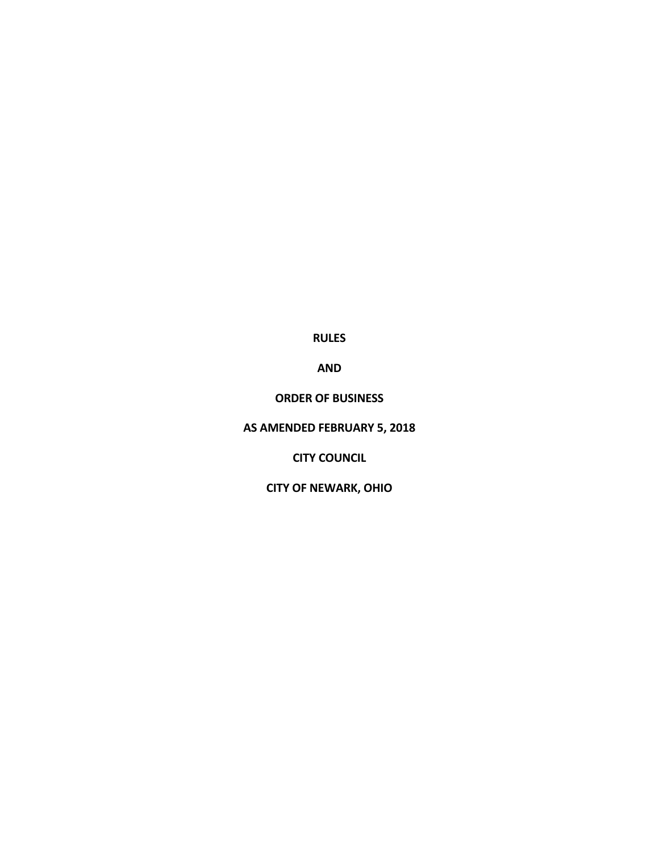**RULES**

**AND**

**ORDER OF BUSINESS**

**AS AMENDED FEBRUARY 5, 2018**

**CITY COUNCIL**

**CITY OF NEWARK, OHIO**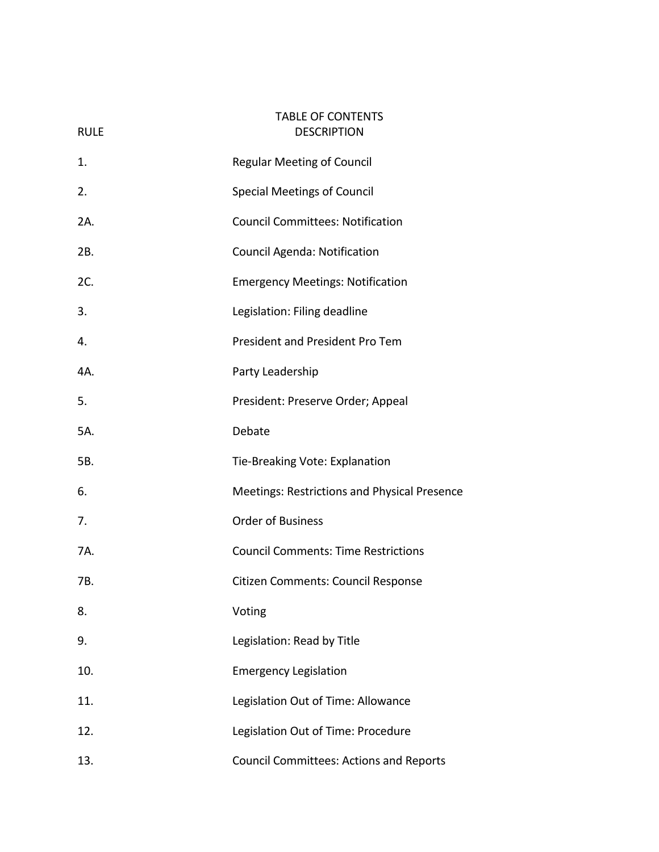# TABLE OF CONTENTS RULE DESCRIPTION

| 1.  | <b>Regular Meeting of Council</b>              |
|-----|------------------------------------------------|
| 2.  | <b>Special Meetings of Council</b>             |
| 2A. | <b>Council Committees: Notification</b>        |
| 2B. | Council Agenda: Notification                   |
| 2C. | <b>Emergency Meetings: Notification</b>        |
| 3.  | Legislation: Filing deadline                   |
| 4.  | President and President Pro Tem                |
| 4A. | Party Leadership                               |
| 5.  | President: Preserve Order; Appeal              |
| 5A. | Debate                                         |
| 5B. | Tie-Breaking Vote: Explanation                 |
| 6.  | Meetings: Restrictions and Physical Presence   |
| 7.  | <b>Order of Business</b>                       |
| 7A. | <b>Council Comments: Time Restrictions</b>     |
| 7B. | Citizen Comments: Council Response             |
| 8.  | Voting                                         |
| 9.  | Legislation: Read by Title                     |
| 10. | <b>Emergency Legislation</b>                   |
| 11. | Legislation Out of Time: Allowance             |
| 12. | Legislation Out of Time: Procedure             |
| 13. | <b>Council Committees: Actions and Reports</b> |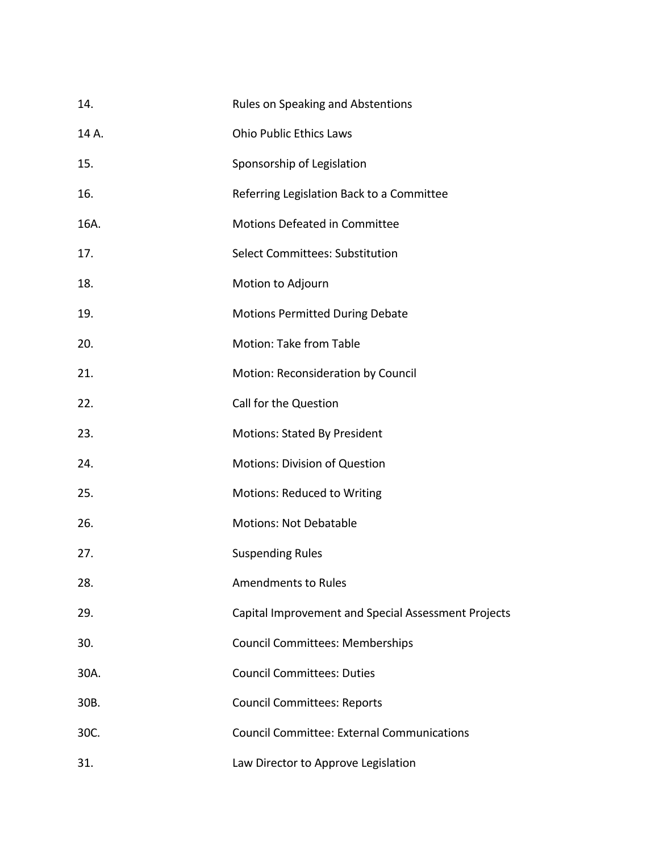| 14.   | Rules on Speaking and Abstentions                   |
|-------|-----------------------------------------------------|
| 14 A. | <b>Ohio Public Ethics Laws</b>                      |
| 15.   | Sponsorship of Legislation                          |
| 16.   | Referring Legislation Back to a Committee           |
| 16A.  | Motions Defeated in Committee                       |
| 17.   | <b>Select Committees: Substitution</b>              |
| 18.   | Motion to Adjourn                                   |
| 19.   | <b>Motions Permitted During Debate</b>              |
| 20.   | Motion: Take from Table                             |
| 21.   | Motion: Reconsideration by Council                  |
| 22.   | Call for the Question                               |
| 23.   | <b>Motions: Stated By President</b>                 |
| 24.   | <b>Motions: Division of Question</b>                |
| 25.   | Motions: Reduced to Writing                         |
| 26.   | <b>Motions: Not Debatable</b>                       |
| 27.   | <b>Suspending Rules</b>                             |
| 28.   | <b>Amendments to Rules</b>                          |
| 29.   | Capital Improvement and Special Assessment Projects |
| 30.   | <b>Council Committees: Memberships</b>              |
| 30A.  | <b>Council Committees: Duties</b>                   |
| 30B.  | <b>Council Committees: Reports</b>                  |
| 30C.  | <b>Council Committee: External Communications</b>   |
| 31.   | Law Director to Approve Legislation                 |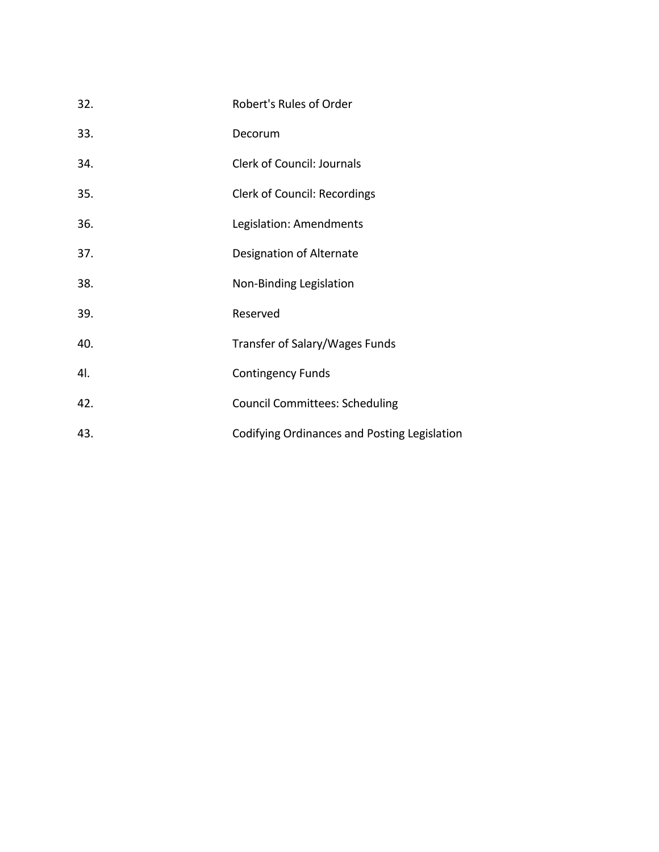| 32. | Robert's Rules of Order                      |
|-----|----------------------------------------------|
| 33. | Decorum                                      |
| 34. | <b>Clerk of Council: Journals</b>            |
| 35. | Clerk of Council: Recordings                 |
| 36. | Legislation: Amendments                      |
| 37. | Designation of Alternate                     |
| 38. | Non-Binding Legislation                      |
| 39. | Reserved                                     |
| 40. | Transfer of Salary/Wages Funds               |
| 41. | <b>Contingency Funds</b>                     |
| 42. | <b>Council Committees: Scheduling</b>        |
| 43. | Codifying Ordinances and Posting Legislation |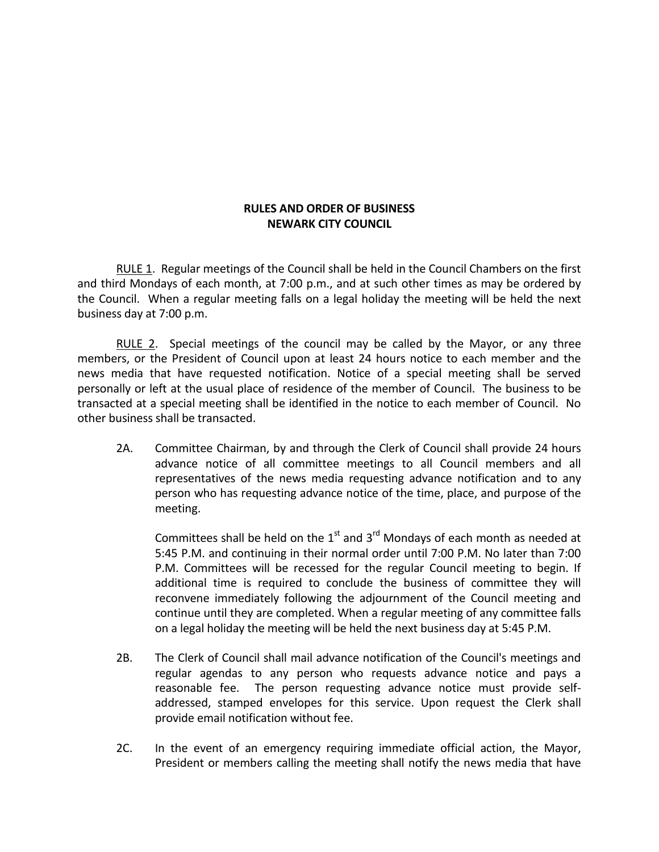## **RULES AND ORDER OF BUSINESS NEWARK CITY COUNCIL**

RULE 1. Regular meetings of the Council shall be held in the Council Chambers on the first and third Mondays of each month, at 7:00 p.m., and at such other times as may be ordered by the Council. When a regular meeting falls on a legal holiday the meeting will be held the next business day at 7:00 p.m.

RULE 2. Special meetings of the council may be called by the Mayor, or any three members, or the President of Council upon at least 24 hours notice to each member and the news media that have requested notification. Notice of a special meeting shall be served personally or left at the usual place of residence of the member of Council. The business to be transacted at a special meeting shall be identified in the notice to each member of Council. No other business shall be transacted.

2A. Committee Chairman, by and through the Clerk of Council shall provide 24 hours advance notice of all committee meetings to all Council members and all representatives of the news media requesting advance notification and to any person who has requesting advance notice of the time, place, and purpose of the meeting.

Committees shall be held on the  $1<sup>st</sup>$  and  $3<sup>rd</sup>$  Mondays of each month as needed at 5:45 P.M. and continuing in their normal order until 7:00 P.M. No later than 7:00 P.M. Committees will be recessed for the regular Council meeting to begin. If additional time is required to conclude the business of committee they will reconvene immediately following the adjournment of the Council meeting and continue until they are completed. When a regular meeting of any committee falls on a legal holiday the meeting will be held the next business day at 5:45 P.M.

- 2B. The Clerk of Council shall mail advance notification of the Council's meetings and regular agendas to any person who requests advance notice and pays a reasonable fee. The person requesting advance notice must provide selfaddressed, stamped envelopes for this service. Upon request the Clerk shall provide email notification without fee.
- 2C. In the event of an emergency requiring immediate official action, the Mayor, President or members calling the meeting shall notify the news media that have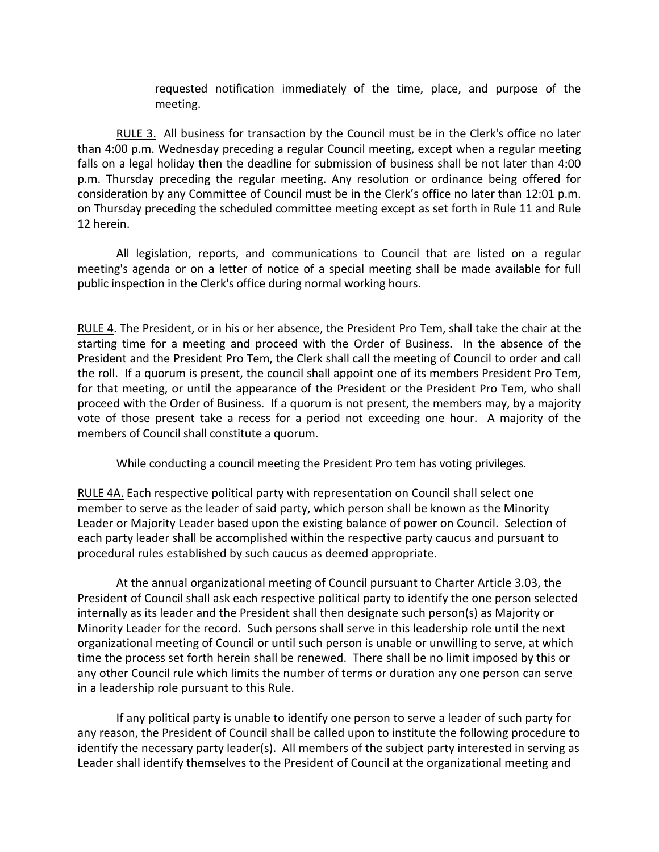requested notification immediately of the time, place, and purpose of the meeting.

RULE 3. All business for transaction by the Council must be in the Clerk's office no later than 4:00 p.m. Wednesday preceding a regular Council meeting, except when a regular meeting falls on a legal holiday then the deadline for submission of business shall be not later than 4:00 p.m. Thursday preceding the regular meeting. Any resolution or ordinance being offered for consideration by any Committee of Council must be in the Clerk's office no later than 12:01 p.m. on Thursday preceding the scheduled committee meeting except as set forth in Rule 11 and Rule 12 herein.

All legislation, reports, and communications to Council that are listed on a regular meeting's agenda or on a letter of notice of a special meeting shall be made available for full public inspection in the Clerk's office during normal working hours.

RULE 4. The President, or in his or her absence, the President Pro Tem, shall take the chair at the starting time for a meeting and proceed with the Order of Business. In the absence of the President and the President Pro Tem, the Clerk shall call the meeting of Council to order and call the roll. If a quorum is present, the council shall appoint one of its members President Pro Tem, for that meeting, or until the appearance of the President or the President Pro Tem, who shall proceed with the Order of Business. If a quorum is not present, the members may, by a majority vote of those present take a recess for a period not exceeding one hour. A majority of the members of Council shall constitute a quorum.

While conducting a council meeting the President Pro tem has voting privileges.

RULE 4A. Each respective political party with representation on Council shall select one member to serve as the leader of said party, which person shall be known as the Minority Leader or Majority Leader based upon the existing balance of power on Council. Selection of each party leader shall be accomplished within the respective party caucus and pursuant to procedural rules established by such caucus as deemed appropriate.

At the annual organizational meeting of Council pursuant to Charter Article 3.03, the President of Council shall ask each respective political party to identify the one person selected internally as its leader and the President shall then designate such person(s) as Majority or Minority Leader for the record. Such persons shall serve in this leadership role until the next organizational meeting of Council or until such person is unable or unwilling to serve, at which time the process set forth herein shall be renewed. There shall be no limit imposed by this or any other Council rule which limits the number of terms or duration any one person can serve in a leadership role pursuant to this Rule.

If any political party is unable to identify one person to serve a leader of such party for any reason, the President of Council shall be called upon to institute the following procedure to identify the necessary party leader(s). All members of the subject party interested in serving as Leader shall identify themselves to the President of Council at the organizational meeting and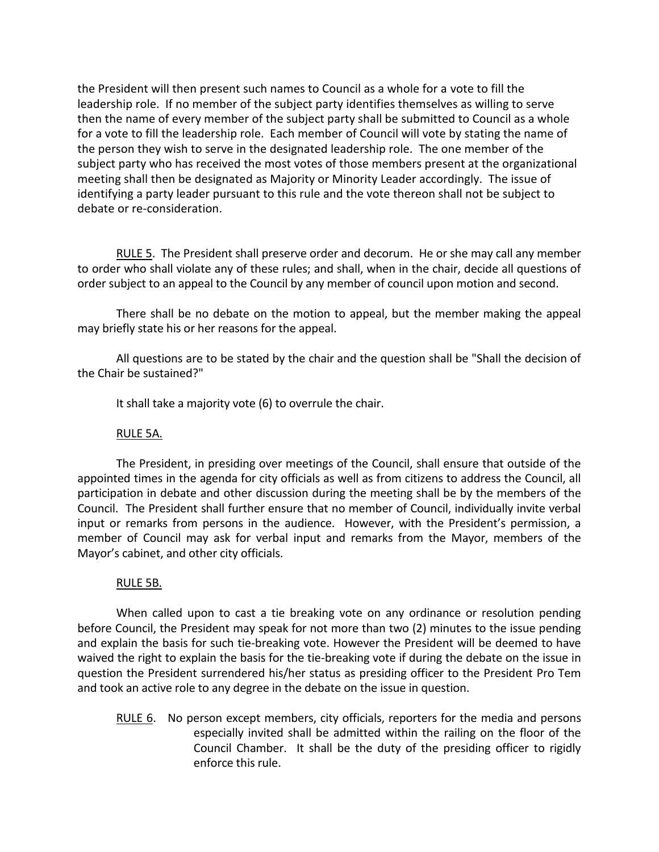the President will then present such names to Council as a whole for a vote to fill the leadership role. If no member of the subject party identifies themselves as willing to serve then the name of every member of the subject party shall be submitted to Council as a whole for a vote to fill the leadership role. Each member of Council will vote by stating the name of the person they wish to serve in the designated leadership role. The one member of the subject party who has received the most votes of those members present at the organizational meeting shall then be designated as Majority or Minority Leader accordingly. The issue of identifying a party leader pursuant to this rule and the vote thereon shall not be subject to debate or re-consideration.

RULE 5. The President shall preserve order and decorum. He or she may call any member to order who shall violate any of these rules; and shall, when in the chair, decide all questions of order subject to an appeal to the Council by any member of council upon motion and second.

There shall be no debate on the motion to appeal, but the member making the appeal may briefly state his or her reasons for the appeal.

All questions are to be stated by the chair and the question shall be "Shall the decision of the Chair be sustained?"

It shall take a majority vote (6) to overrule the chair.

## RULE 5A.

The President, in presiding over meetings of the Council, shall ensure that outside of the appointed times in the agenda for city officials as well as from citizens to address the Council, all participation in debate and other discussion during the meeting shall be by the members of the Council. The President shall further ensure that no member of Council, individually invite verbal input or remarks from persons in the audience. However, with the President's permission, a member of Council may ask for verbal input and remarks from the Mayor, members of the Mayor's cabinet, and other city officials.

#### RULE 5B.

When called upon to cast a tie breaking vote on any ordinance or resolution pending before Council, the President may speak for not more than two (2) minutes to the issue pending and explain the basis for such tie-breaking vote. However the President will be deemed to have waived the right to explain the basis for the tie-breaking vote if during the debate on the issue in question the President surrendered his/her status as presiding officer to the President Pro Tem and took an active role to any degree in the debate on the issue in question.

RULE 6. No person except members, city officials, reporters for the media and persons especially invited shall be admitted within the railing on the floor of the Council Chamber. It shall be the duty of the presiding officer to rigidly enforce this rule.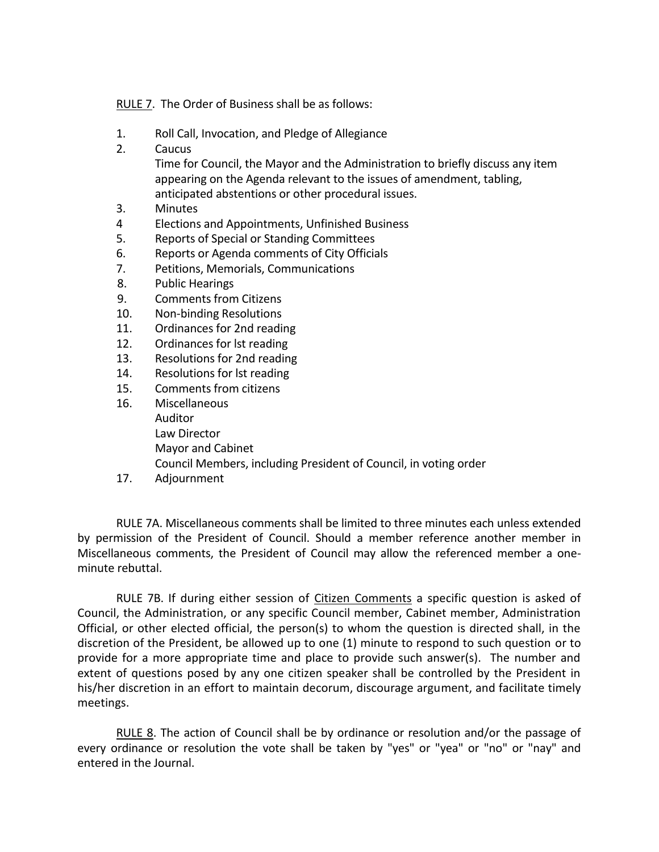RULE 7. The Order of Business shall be as follows:

- 1. Roll Call, Invocation, and Pledge of Allegiance
- 2. Caucus

Time for Council, the Mayor and the Administration to briefly discuss any item appearing on the Agenda relevant to the issues of amendment, tabling, anticipated abstentions or other procedural issues.

- 3. Minutes
- 4 Elections and Appointments, Unfinished Business
- 5. Reports of Special or Standing Committees
- 6. Reports or Agenda comments of City Officials
- 7. Petitions, Memorials, Communications
- 8. Public Hearings
- 9. Comments from Citizens
- 10. Non-binding Resolutions
- 11. Ordinances for 2nd reading
- 12. Ordinances for lst reading
- 13. Resolutions for 2nd reading
- 14. Resolutions for lst reading
- 15. Comments from citizens
- 16. Miscellaneous Auditor Law Director Mayor and Cabinet Council Members, including President of Council, in voting order
- 17. Adjournment

RULE 7A. Miscellaneous comments shall be limited to three minutes each unless extended by permission of the President of Council. Should a member reference another member in Miscellaneous comments, the President of Council may allow the referenced member a oneminute rebuttal.

RULE 7B. If during either session of Citizen Comments a specific question is asked of Council, the Administration, or any specific Council member, Cabinet member, Administration Official, or other elected official, the person(s) to whom the question is directed shall, in the discretion of the President, be allowed up to one (1) minute to respond to such question or to provide for a more appropriate time and place to provide such answer(s). The number and extent of questions posed by any one citizen speaker shall be controlled by the President in his/her discretion in an effort to maintain decorum, discourage argument, and facilitate timely meetings.

RULE 8. The action of Council shall be by ordinance or resolution and/or the passage of every ordinance or resolution the vote shall be taken by "yes" or "yea" or "no" or "nay" and entered in the Journal.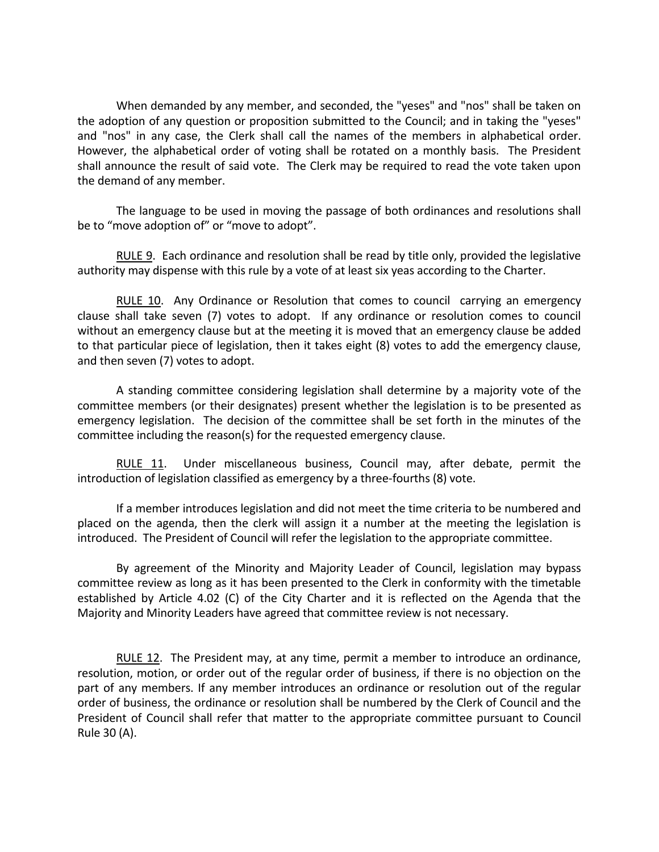When demanded by any member, and seconded, the "yeses" and "nos" shall be taken on the adoption of any question or proposition submitted to the Council; and in taking the "yeses" and "nos" in any case, the Clerk shall call the names of the members in alphabetical order. However, the alphabetical order of voting shall be rotated on a monthly basis. The President shall announce the result of said vote. The Clerk may be required to read the vote taken upon the demand of any member.

The language to be used in moving the passage of both ordinances and resolutions shall be to "move adoption of" or "move to adopt".

RULE 9. Each ordinance and resolution shall be read by title only, provided the legislative authority may dispense with this rule by a vote of at least six yeas according to the Charter.

RULE 10. Any Ordinance or Resolution that comes to council carrying an emergency clause shall take seven (7) votes to adopt. If any ordinance or resolution comes to council without an emergency clause but at the meeting it is moved that an emergency clause be added to that particular piece of legislation, then it takes eight (8) votes to add the emergency clause, and then seven (7) votes to adopt.

A standing committee considering legislation shall determine by a majority vote of the committee members (or their designates) present whether the legislation is to be presented as emergency legislation. The decision of the committee shall be set forth in the minutes of the committee including the reason(s) for the requested emergency clause.

RULE 11. Under miscellaneous business, Council may, after debate, permit the introduction of legislation classified as emergency by a three-fourths (8) vote.

If a member introduces legislation and did not meet the time criteria to be numbered and placed on the agenda, then the clerk will assign it a number at the meeting the legislation is introduced. The President of Council will refer the legislation to the appropriate committee.

By agreement of the Minority and Majority Leader of Council, legislation may bypass committee review as long as it has been presented to the Clerk in conformity with the timetable established by Article 4.02 (C) of the City Charter and it is reflected on the Agenda that the Majority and Minority Leaders have agreed that committee review is not necessary.

RULE 12. The President may, at any time, permit a member to introduce an ordinance, resolution, motion, or order out of the regular order of business, if there is no objection on the part of any members. If any member introduces an ordinance or resolution out of the regular order of business, the ordinance or resolution shall be numbered by the Clerk of Council and the President of Council shall refer that matter to the appropriate committee pursuant to Council Rule 30 (A).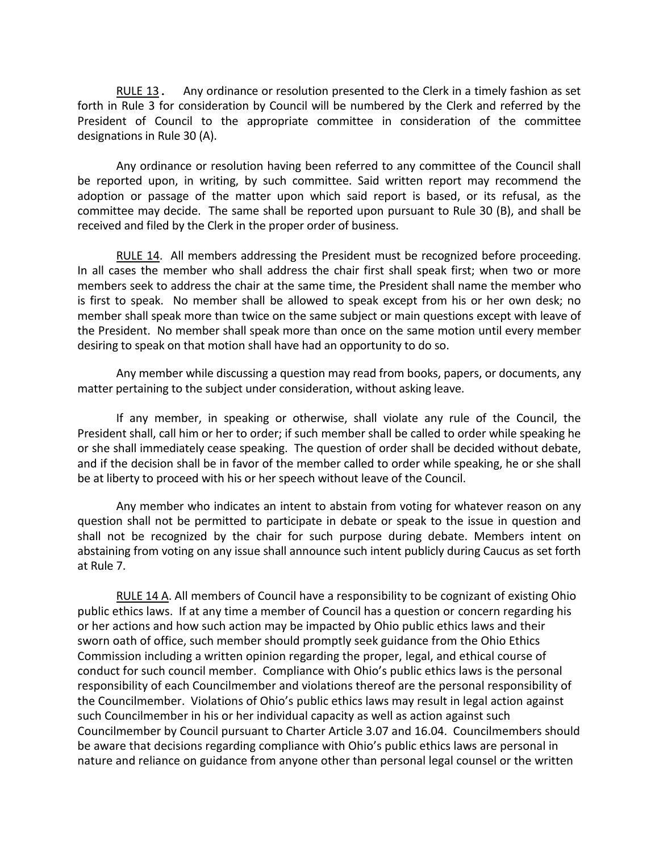RULE 13. Any ordinance or resolution presented to the Clerk in a timely fashion as set forth in Rule 3 for consideration by Council will be numbered by the Clerk and referred by the President of Council to the appropriate committee in consideration of the committee designations in Rule 30 (A).

Any ordinance or resolution having been referred to any committee of the Council shall be reported upon, in writing, by such committee. Said written report may recommend the adoption or passage of the matter upon which said report is based, or its refusal, as the committee may decide. The same shall be reported upon pursuant to Rule 30 (B), and shall be received and filed by the Clerk in the proper order of business.

RULE 14. All members addressing the President must be recognized before proceeding. In all cases the member who shall address the chair first shall speak first; when two or more members seek to address the chair at the same time, the President shall name the member who is first to speak. No member shall be allowed to speak except from his or her own desk; no member shall speak more than twice on the same subject or main questions except with leave of the President. No member shall speak more than once on the same motion until every member desiring to speak on that motion shall have had an opportunity to do so.

Any member while discussing a question may read from books, papers, or documents, any matter pertaining to the subject under consideration, without asking leave.

If any member, in speaking or otherwise, shall violate any rule of the Council, the President shall, call him or her to order; if such member shall be called to order while speaking he or she shall immediately cease speaking. The question of order shall be decided without debate, and if the decision shall be in favor of the member called to order while speaking, he or she shall be at liberty to proceed with his or her speech without leave of the Council.

 Any member who indicates an intent to abstain from voting for whatever reason on any question shall not be permitted to participate in debate or speak to the issue in question and shall not be recognized by the chair for such purpose during debate. Members intent on abstaining from voting on any issue shall announce such intent publicly during Caucus as set forth at Rule 7.

RULE 14 A. All members of Council have a responsibility to be cognizant of existing Ohio public ethics laws. If at any time a member of Council has a question or concern regarding his or her actions and how such action may be impacted by Ohio public ethics laws and their sworn oath of office, such member should promptly seek guidance from the Ohio Ethics Commission including a written opinion regarding the proper, legal, and ethical course of conduct for such council member. Compliance with Ohio's public ethics laws is the personal responsibility of each Councilmember and violations thereof are the personal responsibility of the Councilmember. Violations of Ohio's public ethics laws may result in legal action against such Councilmember in his or her individual capacity as well as action against such Councilmember by Council pursuant to Charter Article 3.07 and 16.04. Councilmembers should be aware that decisions regarding compliance with Ohio's public ethics laws are personal in nature and reliance on guidance from anyone other than personal legal counsel or the written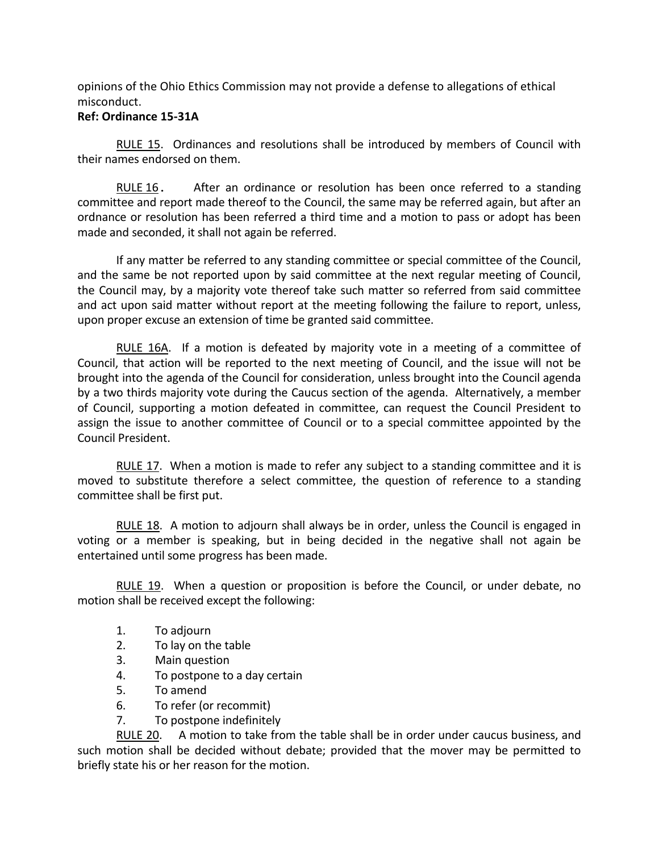opinions of the Ohio Ethics Commission may not provide a defense to allegations of ethical misconduct.

# **Ref: Ordinance 15-31A**

RULE 15. Ordinances and resolutions shall be introduced by members of Council with their names endorsed on them.

RULE 16. After an ordinance or resolution has been once referred to a standing committee and report made thereof to the Council, the same may be referred again, but after an ordnance or resolution has been referred a third time and a motion to pass or adopt has been made and seconded, it shall not again be referred.

If any matter be referred to any standing committee or special committee of the Council, and the same be not reported upon by said committee at the next regular meeting of Council, the Council may, by a majority vote thereof take such matter so referred from said committee and act upon said matter without report at the meeting following the failure to report, unless, upon proper excuse an extension of time be granted said committee.

RULE 16A. If a motion is defeated by majority vote in a meeting of a committee of Council, that action will be reported to the next meeting of Council, and the issue will not be brought into the agenda of the Council for consideration, unless brought into the Council agenda by a two thirds majority vote during the Caucus section of the agenda. Alternatively, a member of Council, supporting a motion defeated in committee, can request the Council President to assign the issue to another committee of Council or to a special committee appointed by the Council President.

RULE 17. When a motion is made to refer any subject to a standing committee and it is moved to substitute therefore a select committee, the question of reference to a standing committee shall be first put.

RULE 18. A motion to adjourn shall always be in order, unless the Council is engaged in voting or a member is speaking, but in being decided in the negative shall not again be entertained until some progress has been made.

RULE 19. When a question or proposition is before the Council, or under debate, no motion shall be received except the following:

- 1. To adjourn
- 2. To lay on the table
- 3. Main question
- 4. To postpone to a day certain
- 5. To amend
- 6. To refer (or recommit)
- 7. To postpone indefinitely

RULE 20. A motion to take from the table shall be in order under caucus business, and such motion shall be decided without debate; provided that the mover may be permitted to briefly state his or her reason for the motion.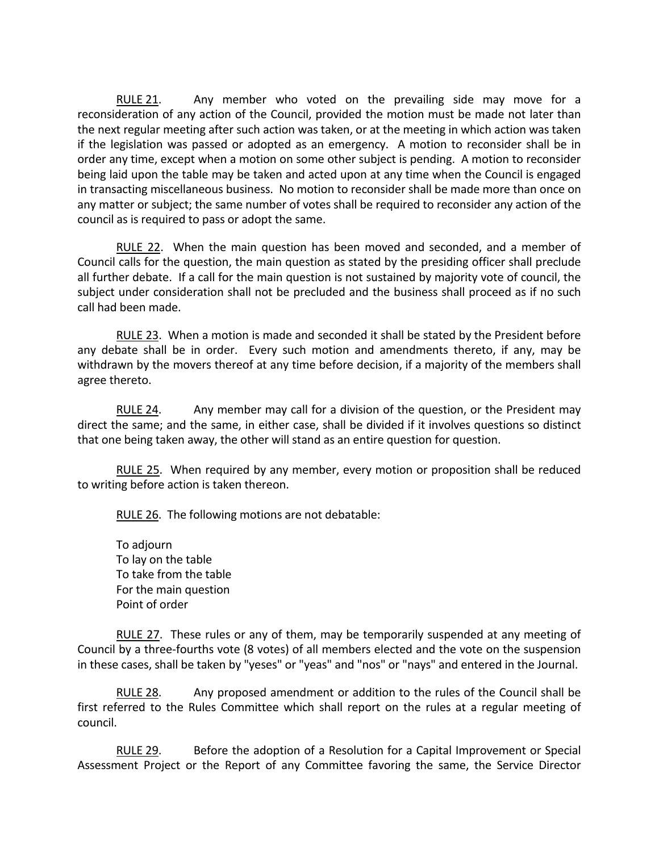RULE 21. Any member who voted on the prevailing side may move for a reconsideration of any action of the Council, provided the motion must be made not later than the next regular meeting after such action was taken, or at the meeting in which action was taken if the legislation was passed or adopted as an emergency. A motion to reconsider shall be in order any time, except when a motion on some other subject is pending. A motion to reconsider being laid upon the table may be taken and acted upon at any time when the Council is engaged in transacting miscellaneous business. No motion to reconsider shall be made more than once on any matter or subject; the same number of votes shall be required to reconsider any action of the council as is required to pass or adopt the same.

RULE 22. When the main question has been moved and seconded, and a member of Council calls for the question, the main question as stated by the presiding officer shall preclude all further debate. If a call for the main question is not sustained by majority vote of council, the subject under consideration shall not be precluded and the business shall proceed as if no such call had been made.

RULE 23. When a motion is made and seconded it shall be stated by the President before any debate shall be in order. Every such motion and amendments thereto, if any, may be withdrawn by the movers thereof at any time before decision, if a majority of the members shall agree thereto.

RULE 24. Any member may call for a division of the question, or the President may direct the same; and the same, in either case, shall be divided if it involves questions so distinct that one being taken away, the other will stand as an entire question for question.

RULE 25. When required by any member, every motion or proposition shall be reduced to writing before action is taken thereon.

RULE 26. The following motions are not debatable:

To adjourn To lay on the table To take from the table For the main question Point of order

RULE 27. These rules or any of them, may be temporarily suspended at any meeting of Council by a three-fourths vote (8 votes) of all members elected and the vote on the suspension in these cases, shall be taken by "yeses" or "yeas" and "nos" or "nays" and entered in the Journal.

RULE 28. Any proposed amendment or addition to the rules of the Council shall be first referred to the Rules Committee which shall report on the rules at a regular meeting of council.

RULE 29. Before the adoption of a Resolution for a Capital Improvement or Special Assessment Project or the Report of any Committee favoring the same, the Service Director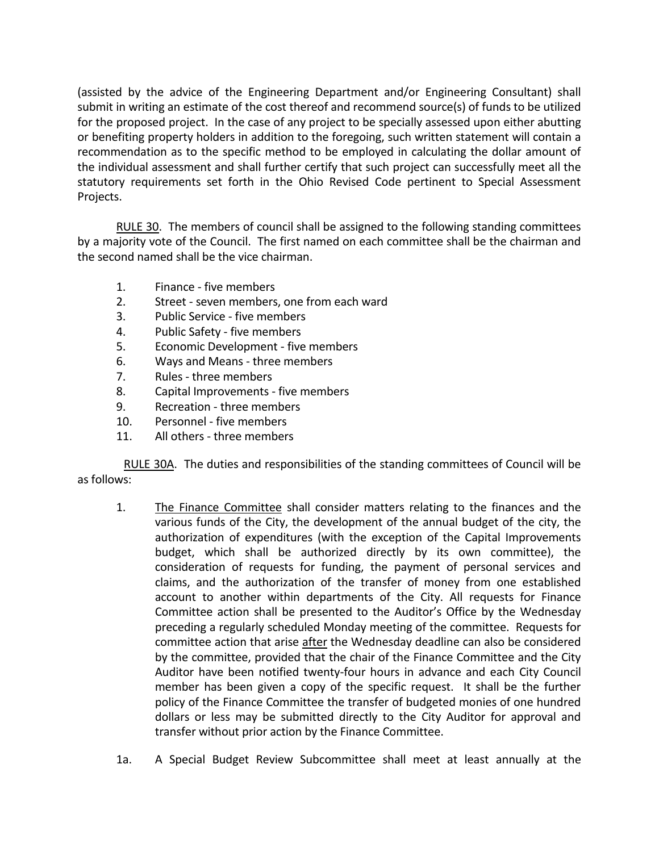(assisted by the advice of the Engineering Department and/or Engineering Consultant) shall submit in writing an estimate of the cost thereof and recommend source(s) of funds to be utilized for the proposed project. In the case of any project to be specially assessed upon either abutting or benefiting property holders in addition to the foregoing, such written statement will contain a recommendation as to the specific method to be employed in calculating the dollar amount of the individual assessment and shall further certify that such project can successfully meet all the statutory requirements set forth in the Ohio Revised Code pertinent to Special Assessment Projects.

RULE 30. The members of council shall be assigned to the following standing committees by a majority vote of the Council. The first named on each committee shall be the chairman and the second named shall be the vice chairman.

- 1. Finance five members
- 2. Street seven members, one from each ward
- 3. Public Service five members
- 4. Public Safety five members
- 5. Economic Development five members
- 6. Ways and Means three members
- 7. Rules three members
- 8. Capital Improvements five members
- 9. Recreation three members
- 10. Personnel five members
- 11. All others three members

RULE 30A. The duties and responsibilities of the standing committees of Council will be as follows:

- 1. The Finance Committee shall consider matters relating to the finances and the various funds of the City, the development of the annual budget of the city, the authorization of expenditures (with the exception of the Capital Improvements budget, which shall be authorized directly by its own committee), the consideration of requests for funding, the payment of personal services and claims, and the authorization of the transfer of money from one established account to another within departments of the City. All requests for Finance Committee action shall be presented to the Auditor's Office by the Wednesday preceding a regularly scheduled Monday meeting of the committee. Requests for committee action that arise after the Wednesday deadline can also be considered by the committee, provided that the chair of the Finance Committee and the City Auditor have been notified twenty-four hours in advance and each City Council member has been given a copy of the specific request. It shall be the further policy of the Finance Committee the transfer of budgeted monies of one hundred dollars or less may be submitted directly to the City Auditor for approval and transfer without prior action by the Finance Committee.
- 1a. A Special Budget Review Subcommittee shall meet at least annually at the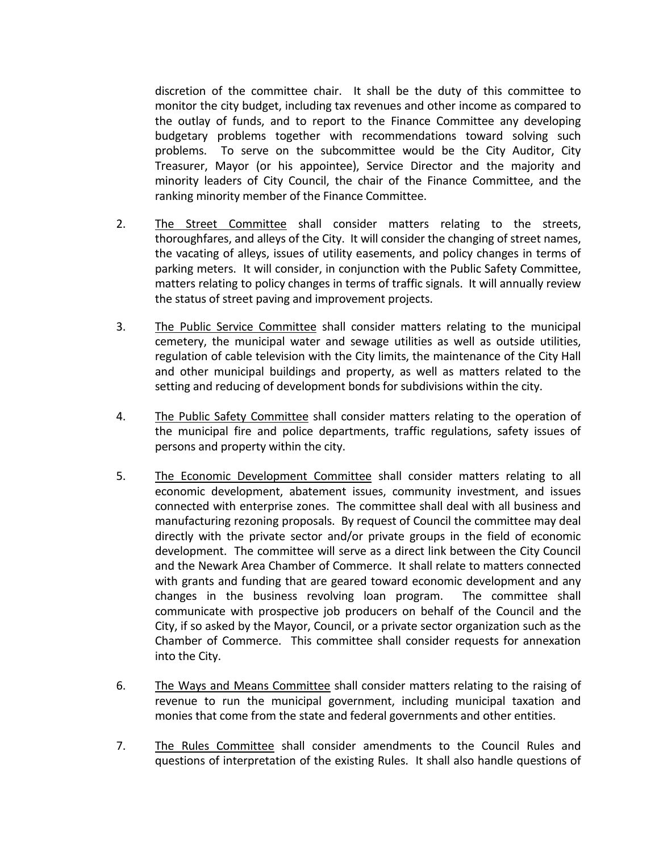discretion of the committee chair. It shall be the duty of this committee to monitor the city budget, including tax revenues and other income as compared to the outlay of funds, and to report to the Finance Committee any developing budgetary problems together with recommendations toward solving such problems. To serve on the subcommittee would be the City Auditor, City Treasurer, Mayor (or his appointee), Service Director and the majority and minority leaders of City Council, the chair of the Finance Committee, and the ranking minority member of the Finance Committee.

- 2. The Street Committee shall consider matters relating to the streets, thoroughfares, and alleys of the City. It will consider the changing of street names, the vacating of alleys, issues of utility easements, and policy changes in terms of parking meters. It will consider, in conjunction with the Public Safety Committee, matters relating to policy changes in terms of traffic signals. It will annually review the status of street paving and improvement projects.
- 3. The Public Service Committee shall consider matters relating to the municipal cemetery, the municipal water and sewage utilities as well as outside utilities, regulation of cable television with the City limits, the maintenance of the City Hall and other municipal buildings and property, as well as matters related to the setting and reducing of development bonds for subdivisions within the city.
- 4. The Public Safety Committee shall consider matters relating to the operation of the municipal fire and police departments, traffic regulations, safety issues of persons and property within the city.
- 5. The Economic Development Committee shall consider matters relating to all economic development, abatement issues, community investment, and issues connected with enterprise zones. The committee shall deal with all business and manufacturing rezoning proposals. By request of Council the committee may deal directly with the private sector and/or private groups in the field of economic development. The committee will serve as a direct link between the City Council and the Newark Area Chamber of Commerce. It shall relate to matters connected with grants and funding that are geared toward economic development and any changes in the business revolving loan program. The committee shall communicate with prospective job producers on behalf of the Council and the City, if so asked by the Mayor, Council, or a private sector organization such as the Chamber of Commerce. This committee shall consider requests for annexation into the City.
- 6. The Ways and Means Committee shall consider matters relating to the raising of revenue to run the municipal government, including municipal taxation and monies that come from the state and federal governments and other entities.
- 7. The Rules Committee shall consider amendments to the Council Rules and questions of interpretation of the existing Rules. It shall also handle questions of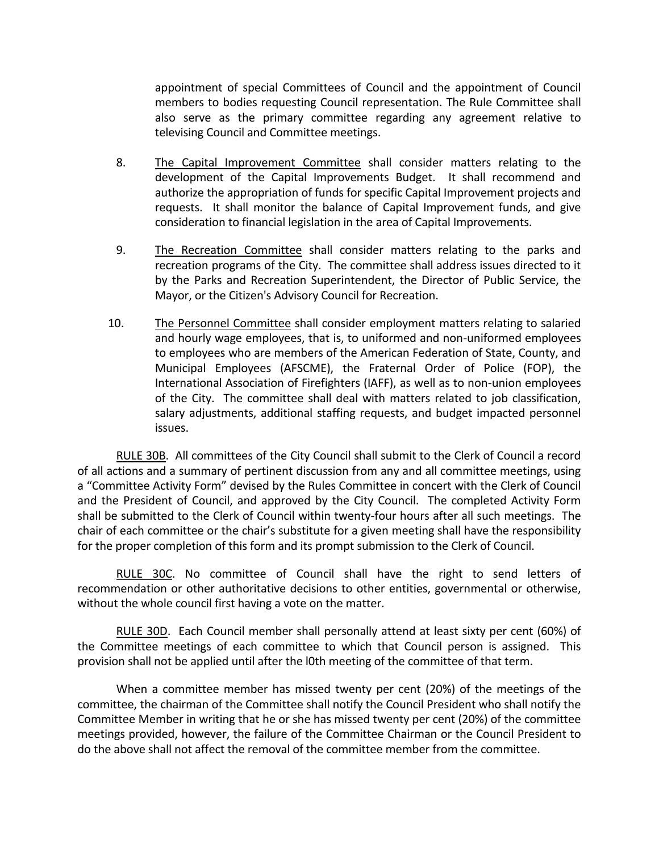appointment of special Committees of Council and the appointment of Council members to bodies requesting Council representation. The Rule Committee shall also serve as the primary committee regarding any agreement relative to televising Council and Committee meetings.

- 8. The Capital Improvement Committee shall consider matters relating to the development of the Capital Improvements Budget. It shall recommend and authorize the appropriation of funds for specific Capital Improvement projects and requests. It shall monitor the balance of Capital Improvement funds, and give consideration to financial legislation in the area of Capital Improvements.
- 9. The Recreation Committee shall consider matters relating to the parks and recreation programs of the City. The committee shall address issues directed to it by the Parks and Recreation Superintendent, the Director of Public Service, the Mayor, or the Citizen's Advisory Council for Recreation.
- 10. The Personnel Committee shall consider employment matters relating to salaried and hourly wage employees, that is, to uniformed and non-uniformed employees to employees who are members of the American Federation of State, County, and Municipal Employees (AFSCME), the Fraternal Order of Police (FOP), the International Association of Firefighters (IAFF), as well as to non-union employees of the City. The committee shall deal with matters related to job classification, salary adjustments, additional staffing requests, and budget impacted personnel issues.

RULE 30B. All committees of the City Council shall submit to the Clerk of Council a record of all actions and a summary of pertinent discussion from any and all committee meetings, using a "Committee Activity Form" devised by the Rules Committee in concert with the Clerk of Council and the President of Council, and approved by the City Council. The completed Activity Form shall be submitted to the Clerk of Council within twenty-four hours after all such meetings. The chair of each committee or the chair's substitute for a given meeting shall have the responsibility for the proper completion of this form and its prompt submission to the Clerk of Council.

RULE 30C. No committee of Council shall have the right to send letters of recommendation or other authoritative decisions to other entities, governmental or otherwise, without the whole council first having a vote on the matter.

RULE 30D. Each Council member shall personally attend at least sixty per cent (60%) of the Committee meetings of each committee to which that Council person is assigned. This provision shall not be applied until after the l0th meeting of the committee of that term.

When a committee member has missed twenty per cent (20%) of the meetings of the committee, the chairman of the Committee shall notify the Council President who shall notify the Committee Member in writing that he or she has missed twenty per cent (20%) of the committee meetings provided, however, the failure of the Committee Chairman or the Council President to do the above shall not affect the removal of the committee member from the committee.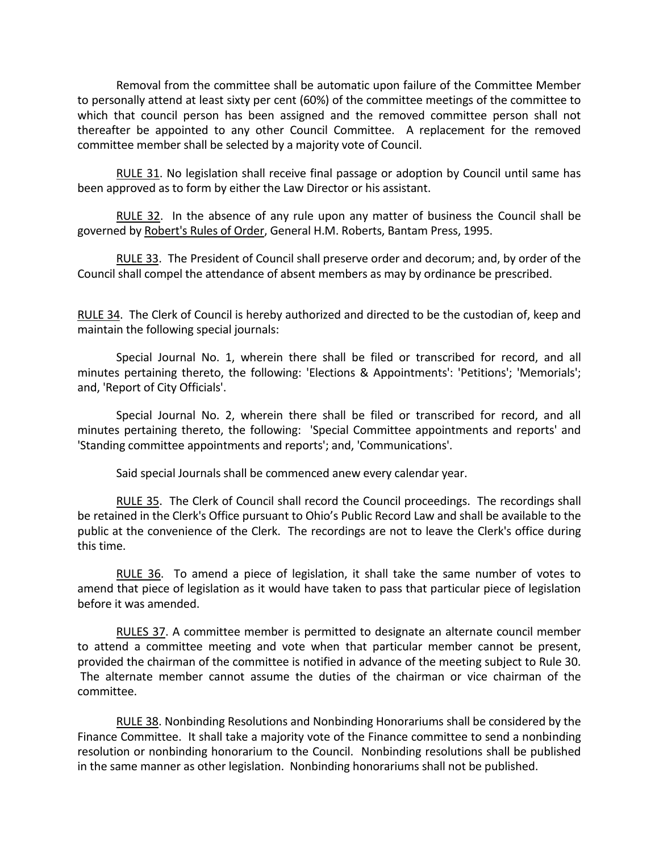Removal from the committee shall be automatic upon failure of the Committee Member to personally attend at least sixty per cent (60%) of the committee meetings of the committee to which that council person has been assigned and the removed committee person shall not thereafter be appointed to any other Council Committee. A replacement for the removed committee member shall be selected by a majority vote of Council.

RULE 31. No legislation shall receive final passage or adoption by Council until same has been approved as to form by either the Law Director or his assistant.

RULE 32. In the absence of any rule upon any matter of business the Council shall be governed by Robert's Rules of Order, General H.M. Roberts, Bantam Press, 1995.

RULE 33. The President of Council shall preserve order and decorum; and, by order of the Council shall compel the attendance of absent members as may by ordinance be prescribed.

RULE 34. The Clerk of Council is hereby authorized and directed to be the custodian of, keep and maintain the following special journals:

Special Journal No. 1, wherein there shall be filed or transcribed for record, and all minutes pertaining thereto, the following: 'Elections & Appointments': 'Petitions'; 'Memorials'; and, 'Report of City Officials'.

Special Journal No. 2, wherein there shall be filed or transcribed for record, and all minutes pertaining thereto, the following: 'Special Committee appointments and reports' and 'Standing committee appointments and reports'; and, 'Communications'.

Said special Journals shall be commenced anew every calendar year.

RULE 35. The Clerk of Council shall record the Council proceedings. The recordings shall be retained in the Clerk's Office pursuant to Ohio's Public Record Law and shall be available to the public at the convenience of the Clerk. The recordings are not to leave the Clerk's office during this time.

RULE 36. To amend a piece of legislation, it shall take the same number of votes to amend that piece of legislation as it would have taken to pass that particular piece of legislation before it was amended.

RULES 37. A committee member is permitted to designate an alternate council member to attend a committee meeting and vote when that particular member cannot be present, provided the chairman of the committee is notified in advance of the meeting subject to Rule 30. The alternate member cannot assume the duties of the chairman or vice chairman of the committee.

RULE 38. Nonbinding Resolutions and Nonbinding Honorariums shall be considered by the Finance Committee. It shall take a majority vote of the Finance committee to send a nonbinding resolution or nonbinding honorarium to the Council. Nonbinding resolutions shall be published in the same manner as other legislation. Nonbinding honorariums shall not be published.